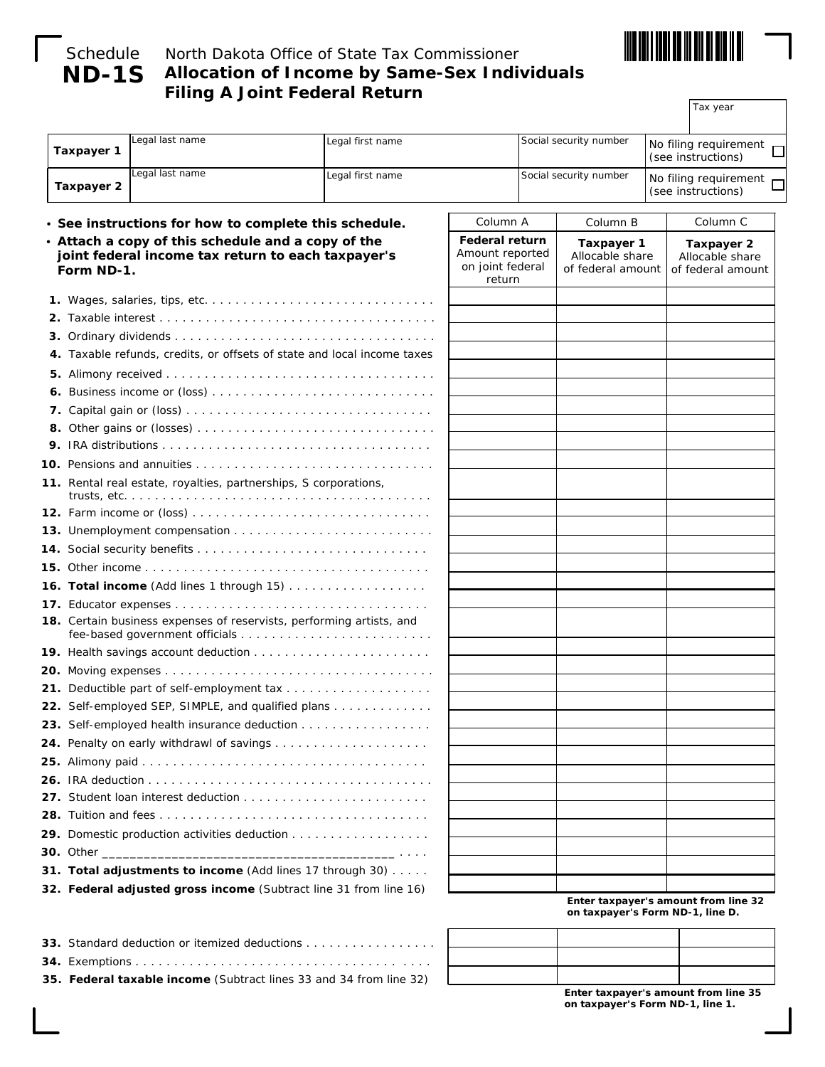

# **ND-1S**

# Schedule North Dakota Office of State Tax Commissioner **Allocation of Income by Same-Sex Individuals Filing A Joint Federal Return**

Tax year

| Taxpayer 1                                                                                                             | Legal last name                                                  | Legal first name                                                        |                                                                        |                        | Social security number                                    |  | No filing requirement<br>(see instructions)        |  |
|------------------------------------------------------------------------------------------------------------------------|------------------------------------------------------------------|-------------------------------------------------------------------------|------------------------------------------------------------------------|------------------------|-----------------------------------------------------------|--|----------------------------------------------------|--|
| Taxpayer 2                                                                                                             | Legal last name                                                  | Legal first name                                                        |                                                                        | Social security number |                                                           |  | No filing requirement<br>(see instructions)        |  |
|                                                                                                                        | • See instructions for how to complete this schedule.            |                                                                         | Column A                                                               |                        | Column B                                                  |  | Column <sub>C</sub>                                |  |
| • Attach a copy of this schedule and a copy of the<br>joint federal income tax return to each taxpayer's<br>Form ND-1. |                                                                  |                                                                         | <b>Federal return</b><br>Amount reported<br>on joint federal<br>return |                        | <b>Taxpayer 1</b><br>Allocable share<br>of federal amount |  | Taxpayer 2<br>Allocable share<br>of federal amount |  |
|                                                                                                                        |                                                                  |                                                                         |                                                                        |                        |                                                           |  |                                                    |  |
|                                                                                                                        |                                                                  |                                                                         |                                                                        |                        |                                                           |  |                                                    |  |
|                                                                                                                        |                                                                  |                                                                         |                                                                        |                        |                                                           |  |                                                    |  |
|                                                                                                                        |                                                                  | 4. Taxable refunds, credits, or offsets of state and local income taxes |                                                                        |                        |                                                           |  |                                                    |  |
|                                                                                                                        |                                                                  |                                                                         |                                                                        |                        |                                                           |  |                                                    |  |
|                                                                                                                        |                                                                  |                                                                         |                                                                        |                        |                                                           |  |                                                    |  |
|                                                                                                                        |                                                                  |                                                                         |                                                                        |                        |                                                           |  |                                                    |  |
|                                                                                                                        |                                                                  |                                                                         |                                                                        |                        |                                                           |  |                                                    |  |
|                                                                                                                        |                                                                  |                                                                         |                                                                        |                        |                                                           |  |                                                    |  |
|                                                                                                                        |                                                                  |                                                                         |                                                                        |                        |                                                           |  |                                                    |  |
|                                                                                                                        | 11. Rental real estate, royalties, partnerships, S corporations, |                                                                         |                                                                        |                        |                                                           |  |                                                    |  |
|                                                                                                                        |                                                                  |                                                                         |                                                                        |                        |                                                           |  |                                                    |  |
|                                                                                                                        |                                                                  |                                                                         |                                                                        |                        |                                                           |  |                                                    |  |
|                                                                                                                        |                                                                  |                                                                         |                                                                        |                        |                                                           |  |                                                    |  |
|                                                                                                                        |                                                                  |                                                                         |                                                                        |                        |                                                           |  |                                                    |  |
|                                                                                                                        |                                                                  | <b>16. Total income</b> (Add lines 1 through 15)                        |                                                                        |                        |                                                           |  |                                                    |  |
|                                                                                                                        |                                                                  |                                                                         |                                                                        |                        |                                                           |  |                                                    |  |
|                                                                                                                        |                                                                  | 18. Certain business expenses of reservists, performing artists, and    |                                                                        |                        |                                                           |  |                                                    |  |
|                                                                                                                        |                                                                  |                                                                         |                                                                        |                        |                                                           |  |                                                    |  |
|                                                                                                                        |                                                                  |                                                                         |                                                                        |                        |                                                           |  |                                                    |  |
|                                                                                                                        |                                                                  |                                                                         |                                                                        |                        |                                                           |  |                                                    |  |
|                                                                                                                        |                                                                  | 22. Self-employed SEP, SIMPLE, and qualified plans                      |                                                                        |                        |                                                           |  |                                                    |  |
|                                                                                                                        |                                                                  | 23. Self-employed health insurance deduction                            |                                                                        |                        |                                                           |  |                                                    |  |
|                                                                                                                        |                                                                  |                                                                         |                                                                        |                        |                                                           |  |                                                    |  |
|                                                                                                                        |                                                                  |                                                                         |                                                                        |                        |                                                           |  |                                                    |  |
|                                                                                                                        |                                                                  |                                                                         |                                                                        |                        |                                                           |  |                                                    |  |
|                                                                                                                        |                                                                  |                                                                         |                                                                        |                        |                                                           |  |                                                    |  |
|                                                                                                                        |                                                                  |                                                                         |                                                                        |                        |                                                           |  |                                                    |  |
|                                                                                                                        |                                                                  | 29. Domestic production activities deduction                            |                                                                        |                        |                                                           |  |                                                    |  |
| <b>30.</b> Other ____                                                                                                  |                                                                  |                                                                         |                                                                        |                        |                                                           |  |                                                    |  |
|                                                                                                                        |                                                                  | 31. Total adjustments to income (Add lines 17 through 30)               |                                                                        |                        |                                                           |  |                                                    |  |

| 35. Federal taxable income (Subtract lines 33 and 34 from line 32) |
|--------------------------------------------------------------------|
|                                                                    |
| <b>33.</b> Standard deduction or itemized deductions               |

**Enter taxpayer's amount from line 35 on taxpayer's Form ND-1, line 1.**